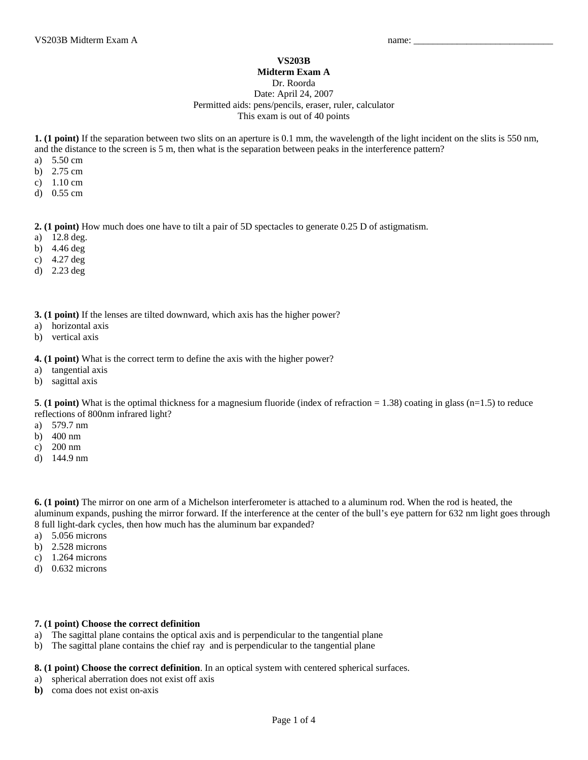## **VS203B**

## **Midterm Exam A**

Dr. Roorda

Date: April 24, 2007 Permitted aids: pens/pencils, eraser, ruler, calculator This exam is out of 40 points

**1. (1 point)** If the separation between two slits on an aperture is 0.1 mm, the wavelength of the light incident on the slits is 550 nm, and the distance to the screen is 5 m, then what is the separation between peaks in the interference pattern?

- a) 5.50 cm
- b) 2.75 cm
- c) 1.10 cm
- d) 0.55 cm

**2. (1 point)** How much does one have to tilt a pair of 5D spectacles to generate 0.25 D of astigmatism.

- a) 12.8 deg.
- b) 4.46 deg
- c) 4.27 deg
- d) 2.23 deg

**3. (1 point)** If the lenses are tilted downward, which axis has the higher power?

- a) horizontal axis
- b) vertical axis

**4. (1 point)** What is the correct term to define the axis with the higher power?

- a) tangential axis
- b) sagittal axis

**5**. **(1 point)** What is the optimal thickness for a magnesium fluoride (index of refraction = 1.38) coating in glass (n=1.5) to reduce reflections of 800nm infrared light?

- a) 579.7 nm
- b) 400 nm
- c) 200 nm
- d) 144.9 nm

**6. (1 point)** The mirror on one arm of a Michelson interferometer is attached to a aluminum rod. When the rod is heated, the aluminum expands, pushing the mirror forward. If the interference at the center of the bull's eye pattern for 632 nm light goes through 8 full light-dark cycles, then how much has the aluminum bar expanded?

- a) 5.056 microns
- b) 2.528 microns
- c) 1.264 microns
- d) 0.632 microns

## **7. (1 point) Choose the correct definition**

- a) The sagittal plane contains the optical axis and is perpendicular to the tangential plane
- b) The sagittal plane contains the chief ray and is perpendicular to the tangential plane

**8. (1 point) Choose the correct definition**. In an optical system with centered spherical surfaces.

- a) spherical aberration does not exist off axis
- **b)** coma does not exist on-axis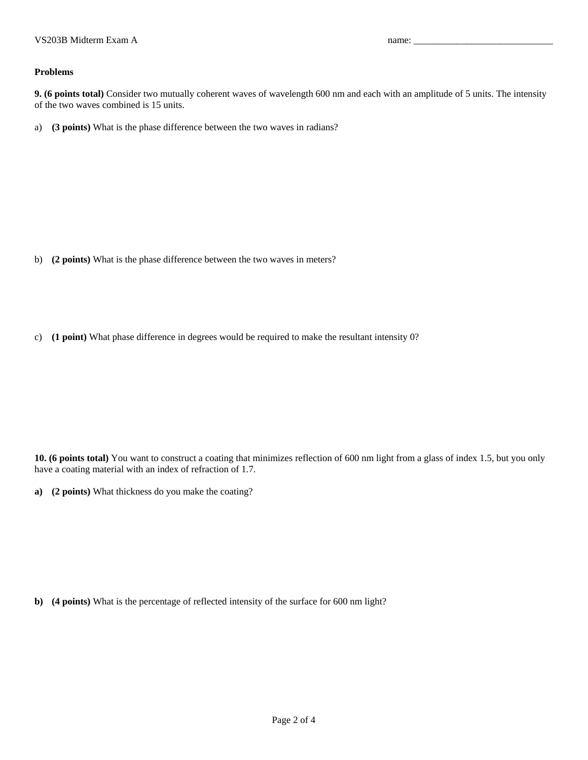## **Problems**

**9. (6 points total)** Consider two mutually coherent waves of wavelength 600 nm and each with an amplitude of 5 units. The intensity of the two waves combined is 15 units.

a) **(3 points)** What is the phase difference between the two waves in radians?

b) **(2 points)** What is the phase difference between the two waves in meters?

c) **(1 point)** What phase difference in degrees would be required to make the resultant intensity 0?

**10. (6 points total)** You want to construct a coating that minimizes reflection of 600 nm light from a glass of index 1.5, but you only have a coating material with an index of refraction of 1.7.

**a) (2 points)** What thickness do you make the coating?

**b) (4 points)** What is the percentage of reflected intensity of the surface for 600 nm light?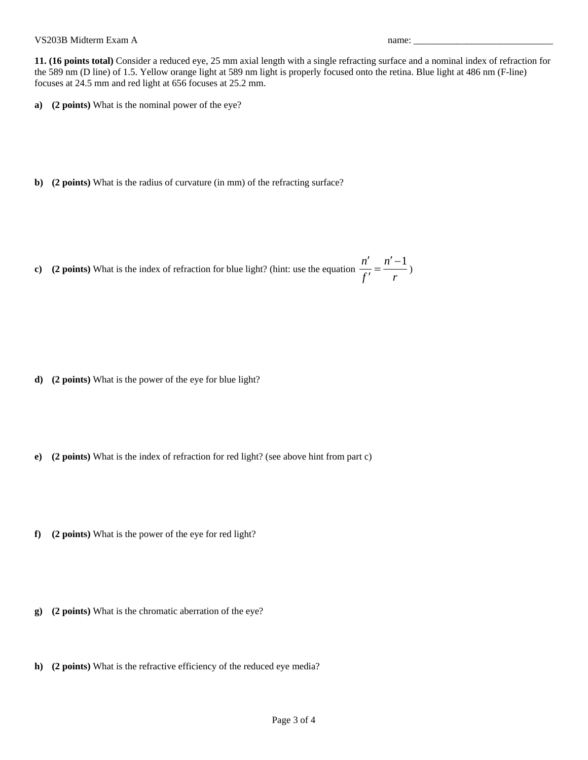**11. (16 points total)** Consider a reduced eye, 25 mm axial length with a single refracting surface and a nominal index of refraction for the 589 nm (D line) of 1.5. Yellow orange light at 589 nm light is properly focused onto the retina. Blue light at 486 nm (F-line) focuses at 24.5 mm and red light at 656 focuses at 25.2 mm.

- **a) (2 points)** What is the nominal power of the eye?
- **b) (2 points)** What is the radius of curvature (in mm) of the refracting surface?
- **c)** (2 points) What is the index of refraction for blue light? (hint: use the equation  $\frac{n'}{n} = \frac{n'-1}{n}$ *f r*  $\frac{n'}{n} = \frac{n' \frac{1}{r} = \frac{1}{r}$

- **d) (2 points)** What is the power of the eye for blue light?
- **e) (2 points)** What is the index of refraction for red light? (see above hint from part c)
- **f) (2 points)** What is the power of the eye for red light?
- **g) (2 points)** What is the chromatic aberration of the eye?
- **h) (2 points)** What is the refractive efficiency of the reduced eye media?